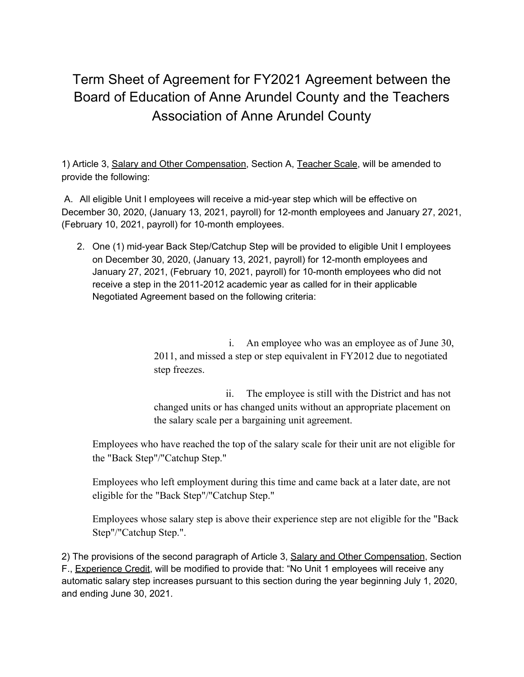## Term Sheet of Agreement for FY2021 Agreement between the Board of Education of Anne Arundel County and the Teachers Association of Anne Arundel County

1) Article 3, Salary and Other Compensation, Section A, Teacher Scale, will be amended to provide the following:

A. All eligible Unit I employees will receive a mid-year step which will be effective on December 30, 2020, (January 13, 2021, payroll) for 12-month employees and January 27, 2021, (February 10, 2021, payroll) for 10-month employees.

2. One (1) mid-year Back Step/Catchup Step will be provided to eligible Unit I employees on December 30, 2020, (January 13, 2021, payroll) for 12-month employees and January 27, 2021, (February 10, 2021, payroll) for 10-month employees who did not receive a step in the 2011-2012 academic year as called for in their applicable Negotiated Agreement based on the following criteria:

> i. An employee who was an employee as of June 30, 2011, and missed a step or step equivalent in FY2012 due to negotiated step freezes.

> ii. The employee is still with the District and has not changed units or has changed units without an appropriate placement on the salary scale per a bargaining unit agreement.

Employees who have reached the top of the salary scale for their unit are not eligible for the "Back Step"/"Catchup Step."

Employees who left employment during this time and came back at a later date, are not eligible for the "Back Step"/"Catchup Step."

Employees whose salary step is above their experience step are not eligible for the "Back Step"/"Catchup Step.".

2) The provisions of the second paragraph of Article 3, Salary and Other Compensation, Section F., Experience Credit, will be modified to provide that: "No Unit 1 employees will receive any automatic salary step increases pursuant to this section during the year beginning July 1, 2020, and ending June 30, 2021.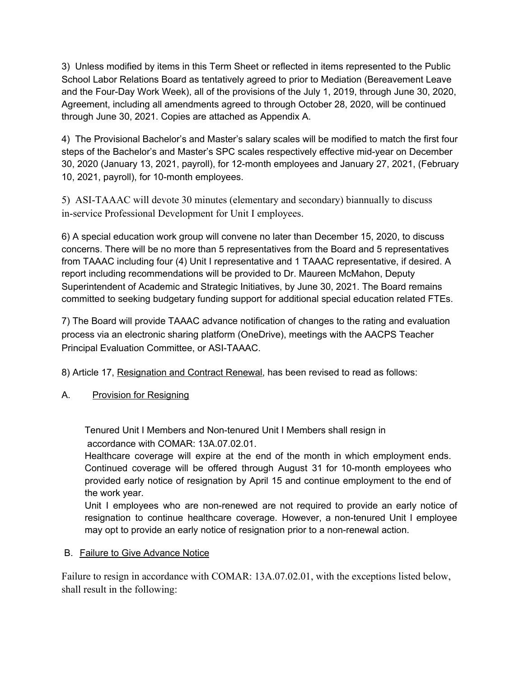3) Unless modified by items in this Term Sheet or reflected in items represented to the Public School Labor Relations Board as tentatively agreed to prior to Mediation (Bereavement Leave and the Four-Day Work Week), all of the provisions of the July 1, 2019, through June 30, 2020, Agreement, including all amendments agreed to through October 28, 2020, will be continued through June 30, 2021. Copies are attached as Appendix A.

4) The Provisional Bachelor's and Master's salary scales will be modified to match the first four steps of the Bachelor's and Master's SPC scales respectively effective mid-year on December 30, 2020 (January 13, 2021, payroll), for 12-month employees and January 27, 2021, (February 10, 2021, payroll), for 10-month employees.

5) ASI-TAAAC will devote 30 minutes (elementary and secondary) biannually to discuss in-service Professional Development for Unit I employees.

6) A special education work group will convene no later than December 15, 2020, to discuss concerns. There will be no more than 5 representatives from the Board and 5 representatives from TAAAC including four (4) Unit I representative and 1 TAAAC representative, if desired. A report including recommendations will be provided to Dr. Maureen McMahon, Deputy Superintendent of Academic and Strategic Initiatives, by June 30, 2021. The Board remains committed to seeking budgetary funding support for additional special education related FTEs.

7) The Board will provide TAAAC advance notification of changes to the rating and evaluation process via an electronic sharing platform (OneDrive), meetings with the AACPS Teacher Principal Evaluation Committee, or ASI-TAAAC.

8) Article 17, Resignation and Contract Renewal, has been revised to read as follows:

A. Provision for Resigning

Tenured Unit I Members and Non-tenured Unit I Members shall resign in accordance with COMAR: 13A.07.02.01.

Healthcare coverage will expire at the end of the month in which employment ends. Continued coverage will be offered through August 31 for 10-month employees who provided early notice of resignation by April 15 and continue employment to the end of the work year.

Unit I employees who are non-renewed are not required to provide an early notice of resignation to continue healthcare coverage. However, a non-tenured Unit I employee may opt to provide an early notice of resignation prior to a non-renewal action.

## B. Failure to Give Advance Notice

Failure to resign in accordance with COMAR: 13A.07.02.01, with the exceptions listed below, shall result in the following: